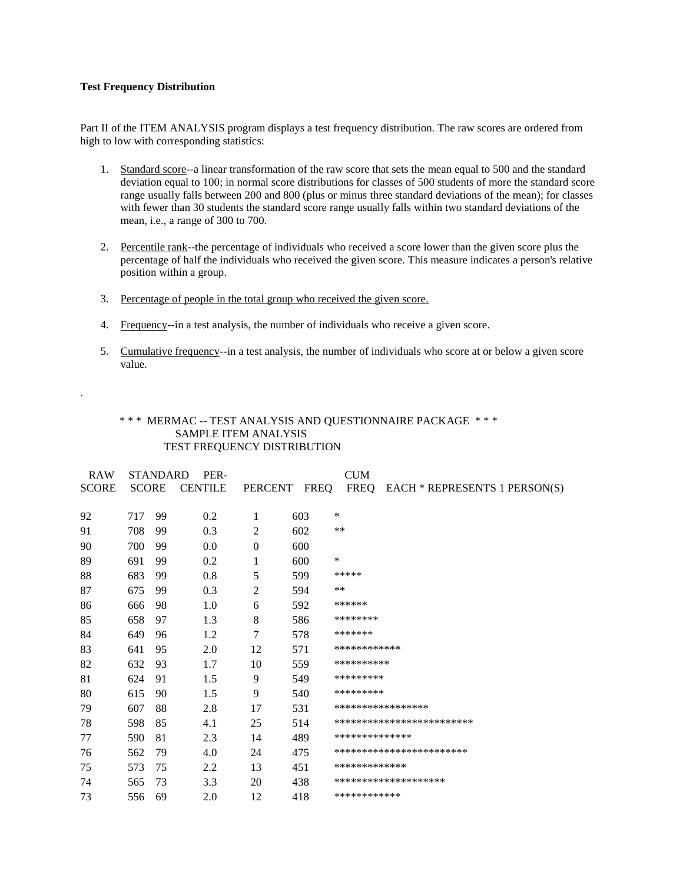## **Test Frequency Distribution**

.

Part II of the ITEM ANALYSIS program displays a test frequency distribution. The raw scores are ordered from high to low with corresponding statistics:

- 1. Standard score--a linear transformation of the raw score that sets the mean equal to 500 and the standard deviation equal to 100; in normal score distributions for classes of 500 students of more the standard score range usually falls between 200 and 800 (plus or minus three standard deviations of the mean); for classes with fewer than 30 students the standard score range usually falls within two standard deviations of the mean, i.e., a range of 300 to 700.
- 2. Percentile rank--the percentage of individuals who received a score lower than the given score plus the percentage of half the individuals who received the given score. This measure indicates a person's relative position within a group.
- 3. Percentage of people in the total group who received the given score.
- 4. Frequency--in a test analysis, the number of individuals who receive a given score.
- 5. Cumulative frequency--in a test analysis, the number of individuals who score at or below a given score value.

## \* \* \* MERMAC -- TEST ANALYSIS AND QUESTIONNAIRE PACKAGE \* \* \* SAMPLE ITEM ANALYSIS TEST FREQUENCY DISTRIBUTION

| STANDARD<br>PER-<br><b>RAW</b> |     |    |               |                |     |                |                                    |
|--------------------------------|-----|----|---------------|----------------|-----|----------------|------------------------------------|
| <b>SCORE</b>                   |     |    | SCORE CENTILE | PERCENT FREQ   |     |                | FREQ EACH * REPRESENTS 1 PERSON(S) |
| 92                             | 717 | 99 | 0.2           | 1              | 603 | ∗              |                                    |
| 91                             | 708 | 99 | 0.3           | $\overline{c}$ | 602 | $***$          |                                    |
| 90                             | 700 | 99 | $0.0\,$       | $\mathbf{0}$   | 600 |                |                                    |
| 89                             | 691 | 99 | 0.2           | 1              | 600 | ∗              |                                    |
| 88                             | 683 | 99 | $0.8\,$       | 5              | 599 | *****          |                                    |
| 87                             | 675 | 99 | 0.3           | $\overline{c}$ | 594 | **             |                                    |
| 86                             | 666 | 98 | 1.0           | 6              | 592 | ******         |                                    |
| 85                             | 658 | 97 | 1.3           | 8              | 586 | ********       |                                    |
| 84                             | 649 | 96 | 1.2           | 7              | 578 | *******        |                                    |
| 83                             | 641 | 95 | 2.0           | 12             | 571 | ************   |                                    |
| 82                             | 632 | 93 | 1.7           | 10             | 559 | **********     |                                    |
| 81                             | 624 | 91 | 1.5           | 9              | 549 | *********      |                                    |
| 80                             | 615 | 90 | 1.5           | 9              | 540 | *********      |                                    |
| 79                             | 607 | 88 | 2.8           | 17             | 531 |                | ****************                   |
| 78                             | 598 | 85 | 4.1           | 25             | 514 |                | *************************          |
| 77                             | 590 | 81 | 2.3           | 14             | 489 | ************** |                                    |
| 76                             | 562 | 79 | 4.0           | 24             | 475 |                | ***********************            |
| 75                             | 573 | 75 | 2.2           | 13             | 451 | *************  |                                    |
| 74                             | 565 | 73 | 3.3           | 20             | 438 |                | *******************                |
| 73                             | 556 | 69 | 2.0           | 12             | 418 | ************   |                                    |